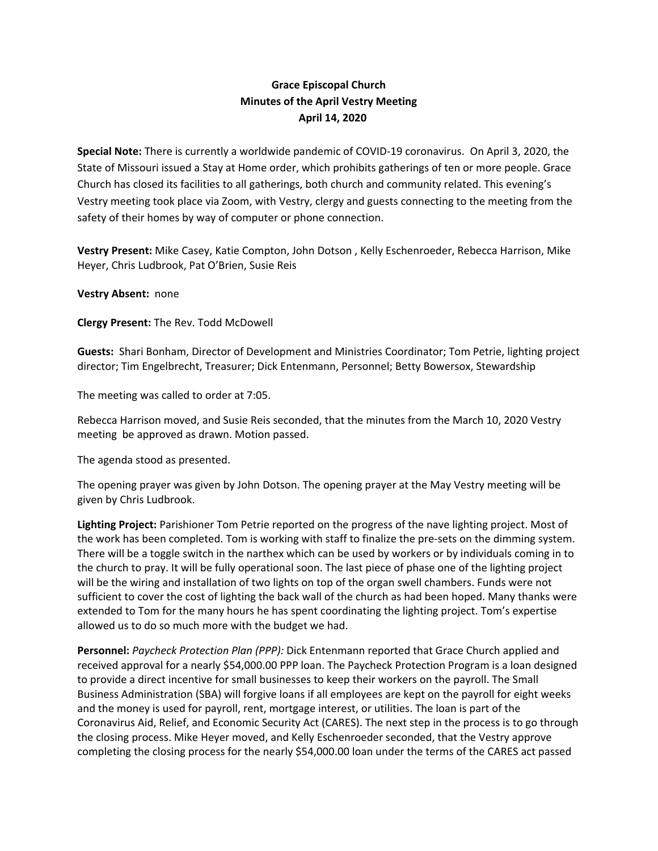## **Grace Episcopal Church Minutes of the April Vestry Meeting April 14, 2020**

**Special Note:** There is currently a worldwide pandemic of COVID‐19 coronavirus. On April 3, 2020, the State of Missouri issued a Stay at Home order, which prohibits gatherings of ten or more people. Grace Church has closed its facilities to all gatherings, both church and community related. This evening's Vestry meeting took place via Zoom, with Vestry, clergy and guests connecting to the meeting from the safety of their homes by way of computer or phone connection.

**Vestry Present:** Mike Casey, Katie Compton, John Dotson , Kelly Eschenroeder, Rebecca Harrison, Mike Heyer, Chris Ludbrook, Pat O'Brien, Susie Reis

## **Vestry Absent:** none

**Clergy Present:** The Rev. Todd McDowell

**Guests:** Shari Bonham, Director of Development and Ministries Coordinator; Tom Petrie, lighting project director; Tim Engelbrecht, Treasurer; Dick Entenmann, Personnel; Betty Bowersox, Stewardship

The meeting was called to order at 7:05.

Rebecca Harrison moved, and Susie Reis seconded, that the minutes from the March 10, 2020 Vestry meeting be approved as drawn. Motion passed.

The agenda stood as presented.

The opening prayer was given by John Dotson. The opening prayer at the May Vestry meeting will be given by Chris Ludbrook.

**Lighting Project:** Parishioner Tom Petrie reported on the progress of the nave lighting project. Most of the work has been completed. Tom is working with staff to finalize the pre‐sets on the dimming system. There will be a toggle switch in the narthex which can be used by workers or by individuals coming in to the church to pray. It will be fully operational soon. The last piece of phase one of the lighting project will be the wiring and installation of two lights on top of the organ swell chambers. Funds were not sufficient to cover the cost of lighting the back wall of the church as had been hoped. Many thanks were extended to Tom for the many hours he has spent coordinating the lighting project. Tom's expertise allowed us to do so much more with the budget we had.

**Personnel:** *Paycheck Protection Plan (PPP):* Dick Entenmann reported that Grace Church applied and received approval for a nearly \$54,000.00 PPP loan. The Paycheck Protection Program is a loan designed to provide a direct incentive for small businesses to keep their workers on the payroll. The Small Business Administration (SBA) will forgive loans if all employees are kept on the payroll for eight weeks and the money is used for payroll, rent, mortgage interest, or utilities. The loan is part of the Coronavirus Aid, Relief, and Economic Security Act (CARES). The next step in the process is to go through the closing process. Mike Heyer moved, and Kelly Eschenroeder seconded, that the Vestry approve completing the closing process for the nearly \$54,000.00 loan under the terms of the CARES act passed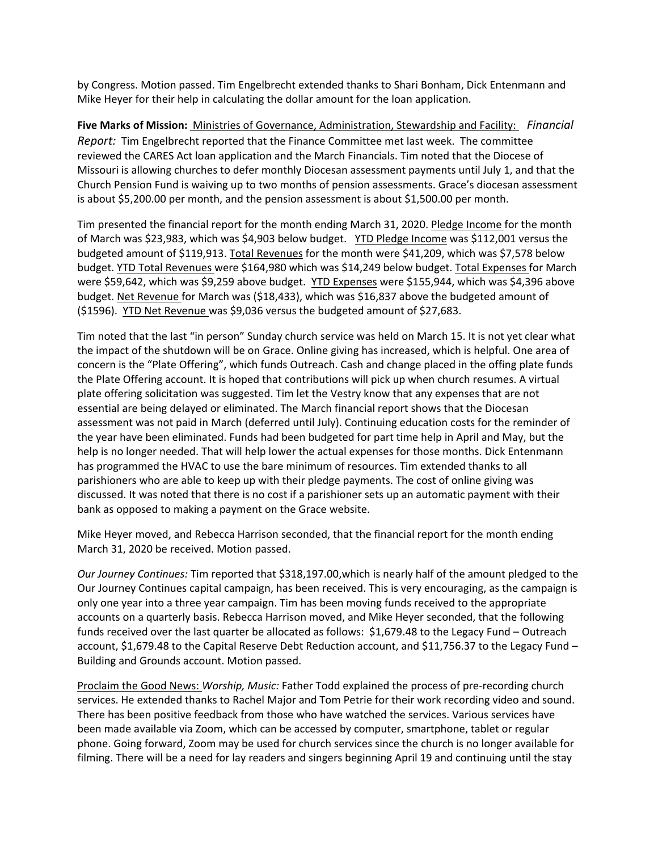by Congress. Motion passed. Tim Engelbrecht extended thanks to Shari Bonham, Dick Entenmann and Mike Heyer for their help in calculating the dollar amount for the loan application.

**Five Marks of Mission:** Ministries of Governance, Administration, Stewardship and Facility:  *Financial Report:* Tim Engelbrecht reported that the Finance Committee met last week. The committee reviewed the CARES Act loan application and the March Financials. Tim noted that the Diocese of Missouri is allowing churches to defer monthly Diocesan assessment payments until July 1, and that the Church Pension Fund is waiving up to two months of pension assessments. Grace's diocesan assessment is about \$5,200.00 per month, and the pension assessment is about \$1,500.00 per month.

Tim presented the financial report for the month ending March 31, 2020. Pledge Income for the month of March was \$23,983, which was \$4,903 below budget. YTD Pledge Income was \$112,001 versus the budgeted amount of \$119,913. Total Revenues for the month were \$41,209, which was \$7,578 below budget. YTD Total Revenues were \$164,980 which was \$14,249 below budget. Total Expenses for March were \$59,642, which was \$9,259 above budget. YTD Expenses were \$155,944, which was \$4,396 above budget. Net Revenue for March was (\$18,433), which was \$16,837 above the budgeted amount of (\$1596). YTD Net Revenue was \$9,036 versus the budgeted amount of \$27,683.

Tim noted that the last "in person" Sunday church service was held on March 15. It is not yet clear what the impact of the shutdown will be on Grace. Online giving has increased, which is helpful. One area of concern is the "Plate Offering", which funds Outreach. Cash and change placed in the offing plate funds the Plate Offering account. It is hoped that contributions will pick up when church resumes. A virtual plate offering solicitation was suggested. Tim let the Vestry know that any expenses that are not essential are being delayed or eliminated. The March financial report shows that the Diocesan assessment was not paid in March (deferred until July). Continuing education costs for the reminder of the year have been eliminated. Funds had been budgeted for part time help in April and May, but the help is no longer needed. That will help lower the actual expenses for those months. Dick Entenmann has programmed the HVAC to use the bare minimum of resources. Tim extended thanks to all parishioners who are able to keep up with their pledge payments. The cost of online giving was discussed. It was noted that there is no cost if a parishioner sets up an automatic payment with their bank as opposed to making a payment on the Grace website.

Mike Heyer moved, and Rebecca Harrison seconded, that the financial report for the month ending March 31, 2020 be received. Motion passed.

*Our Journey Continues:* Tim reported that \$318,197.00,which is nearly half of the amount pledged to the Our Journey Continues capital campaign, has been received. This is very encouraging, as the campaign is only one year into a three year campaign. Tim has been moving funds received to the appropriate accounts on a quarterly basis. Rebecca Harrison moved, and Mike Heyer seconded, that the following funds received over the last quarter be allocated as follows: \$1,679.48 to the Legacy Fund – Outreach account, \$1,679.48 to the Capital Reserve Debt Reduction account, and \$11,756.37 to the Legacy Fund – Building and Grounds account. Motion passed.

Proclaim the Good News: *Worship, Music:* Father Todd explained the process of pre‐recording church services. He extended thanks to Rachel Major and Tom Petrie for their work recording video and sound. There has been positive feedback from those who have watched the services. Various services have been made available via Zoom, which can be accessed by computer, smartphone, tablet or regular phone. Going forward, Zoom may be used for church services since the church is no longer available for filming. There will be a need for lay readers and singers beginning April 19 and continuing until the stay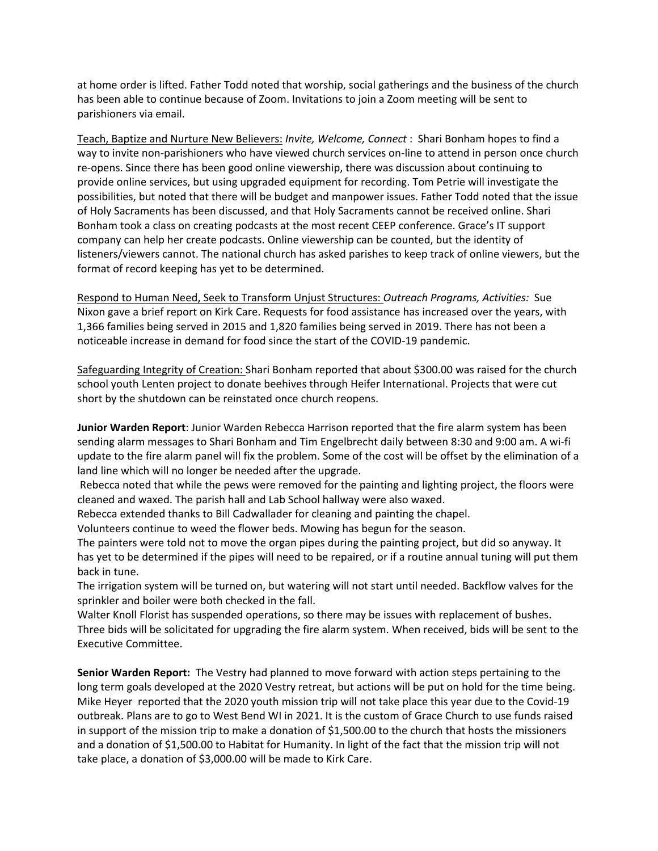at home order is lifted. Father Todd noted that worship, social gatherings and the business of the church has been able to continue because of Zoom. Invitations to join a Zoom meeting will be sent to parishioners via email.

Teach, Baptize and Nurture New Believers: *Invite, Welcome, Connect* : Shari Bonham hopes to find a way to invite non-parishioners who have viewed church services on-line to attend in person once church re-opens. Since there has been good online viewership, there was discussion about continuing to provide online services, but using upgraded equipment for recording. Tom Petrie will investigate the possibilities, but noted that there will be budget and manpower issues. Father Todd noted that the issue of Holy Sacraments has been discussed, and that Holy Sacraments cannot be received online. Shari Bonham took a class on creating podcasts at the most recent CEEP conference. Grace's IT support company can help her create podcasts. Online viewership can be counted, but the identity of listeners/viewers cannot. The national church has asked parishes to keep track of online viewers, but the format of record keeping has yet to be determined.

Respond to Human Need, Seek to Transform Unjust Structures: *Outreach Programs, Activities:* Sue Nixon gave a brief report on Kirk Care. Requests for food assistance has increased over the years, with 1,366 families being served in 2015 and 1,820 families being served in 2019. There has not been a noticeable increase in demand for food since the start of the COVID‐19 pandemic.

Safeguarding Integrity of Creation: Shari Bonham reported that about \$300.00 was raised for the church school youth Lenten project to donate beehives through Heifer International. Projects that were cut short by the shutdown can be reinstated once church reopens.

**Junior Warden Report**: Junior Warden Rebecca Harrison reported that the fire alarm system has been sending alarm messages to Shari Bonham and Tim Engelbrecht daily between 8:30 and 9:00 am. A wi‐fi update to the fire alarm panel will fix the problem. Some of the cost will be offset by the elimination of a land line which will no longer be needed after the upgrade.

Rebecca noted that while the pews were removed for the painting and lighting project, the floors were cleaned and waxed. The parish hall and Lab School hallway were also waxed.

Rebecca extended thanks to Bill Cadwallader for cleaning and painting the chapel.

Volunteers continue to weed the flower beds. Mowing has begun for the season.

The painters were told not to move the organ pipes during the painting project, but did so anyway. It has yet to be determined if the pipes will need to be repaired, or if a routine annual tuning will put them back in tune.

The irrigation system will be turned on, but watering will not start until needed. Backflow valves for the sprinkler and boiler were both checked in the fall.

Walter Knoll Florist has suspended operations, so there may be issues with replacement of bushes. Three bids will be solicitated for upgrading the fire alarm system. When received, bids will be sent to the Executive Committee.

**Senior Warden Report:** The Vestry had planned to move forward with action steps pertaining to the long term goals developed at the 2020 Vestry retreat, but actions will be put on hold for the time being. Mike Heyer reported that the 2020 youth mission trip will not take place this year due to the Covid‐19 outbreak. Plans are to go to West Bend WI in 2021. It is the custom of Grace Church to use funds raised in support of the mission trip to make a donation of \$1,500.00 to the church that hosts the missioners and a donation of \$1,500.00 to Habitat for Humanity. In light of the fact that the mission trip will not take place, a donation of \$3,000.00 will be made to Kirk Care.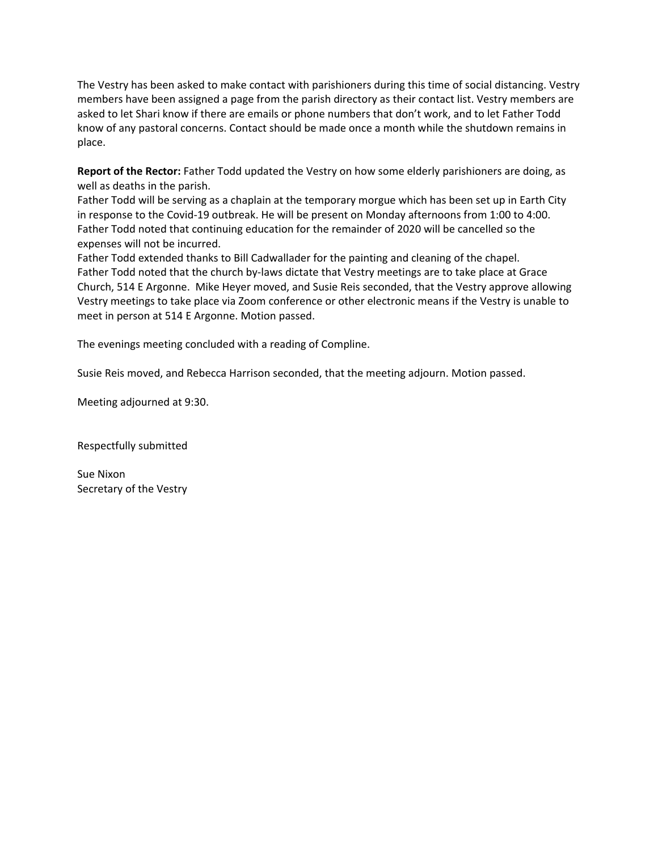The Vestry has been asked to make contact with parishioners during this time of social distancing. Vestry members have been assigned a page from the parish directory as their contact list. Vestry members are asked to let Shari know if there are emails or phone numbers that don't work, and to let Father Todd know of any pastoral concerns. Contact should be made once a month while the shutdown remains in place.

**Report of the Rector:** Father Todd updated the Vestry on how some elderly parishioners are doing, as well as deaths in the parish.

Father Todd will be serving as a chaplain at the temporary morgue which has been set up in Earth City in response to the Covid‐19 outbreak. He will be present on Monday afternoons from 1:00 to 4:00. Father Todd noted that continuing education for the remainder of 2020 will be cancelled so the expenses will not be incurred.

Father Todd extended thanks to Bill Cadwallader for the painting and cleaning of the chapel. Father Todd noted that the church by-laws dictate that Vestry meetings are to take place at Grace Church, 514 E Argonne. Mike Heyer moved, and Susie Reis seconded, that the Vestry approve allowing Vestry meetings to take place via Zoom conference or other electronic means if the Vestry is unable to meet in person at 514 E Argonne. Motion passed.

The evenings meeting concluded with a reading of Compline.

Susie Reis moved, and Rebecca Harrison seconded, that the meeting adjourn. Motion passed.

Meeting adjourned at 9:30.

Respectfully submitted

Sue Nixon Secretary of the Vestry